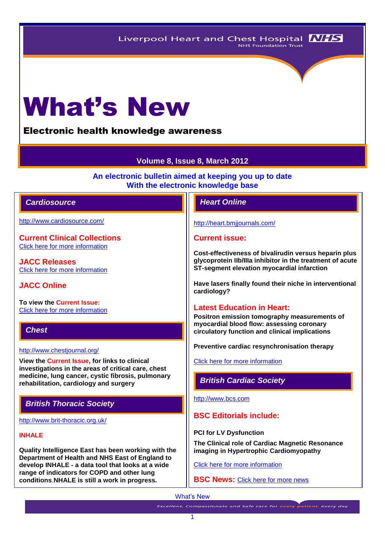# What's New

# Electronic health knowledge awareness

# **Volume 8, Issue 8, March 2012**

**An electronic bulletin aimed at keeping you up to date With the electronic knowledge base**

## *Cardiosource Heart Online*

<http://www.cardiosource.com/>

**Current Clinical Collections** Click here [for more information](http://www.cardiosource.org/science-and-quality/clinical-collections.aspx)

**JACC Releases** [Click here for more information](http://www.cardiosource.org/news-media/media-center/jacc-releases.aspx)

## **JACC Online**

**To view the Current Issue:** [Click here for more information](http://content.onlinejacc.org/current.dtl)

# *Chest*

#### <http://www.chestjournal.org/>

**View the Current Issue, for links to clinical investigations in the areas of critical care, chest medicine, lung cancer, cystic fibrosis, pulmonary rehabilitation, cardiology and surgery**

# *British Thoracic Society*

<http://www.brit-thoracic.org.uk/>

#### **INHALE**

**Quality Intelligence East has been working with the Department of Health and NHS East of England to develop INHALE - a data tool that looks at a wide range of indicators for COPD and other lung conditions**.**NHALE is still a work in progress.**

<http://heart.bmjjournals.com/>

#### **Current issue:**

**Cost-effectiveness of bivalirudin versus heparin plus glycoprotein IIb/IIIa inhibitor in the treatment of acute ST-segment elevation myocardial infarction**

**Have lasers finally found their niche in interventional cardiology?**

## **Latest Education in Heart:**

**Positron emission tomography measurements of myocardial blood flow: assessing coronary circulatory function and clinical implications**

**Preventive cardiac resynchronisation therapy**

[Click here for more information](http://heart.bmj.com/content/current)

*British Cardiac Society*

[http://www.bcs.com](http://www.bcs.com/)

# **BSC Editorials include:**

**PCI for LV Dysfunction**

**The Clinical role of Cardiac Magnetic Resonance imaging in Hypertrophic Cardiomyopathy**

[Click here for more information](http://www.bcs.com/editorial/editorial.asp)

**BSC News:** [Click here for more news](http://www.bcs.com/pages/news_all.asp?NewsCatID=866)

**Excellent, Compassionate and Safe care for every patient, every day**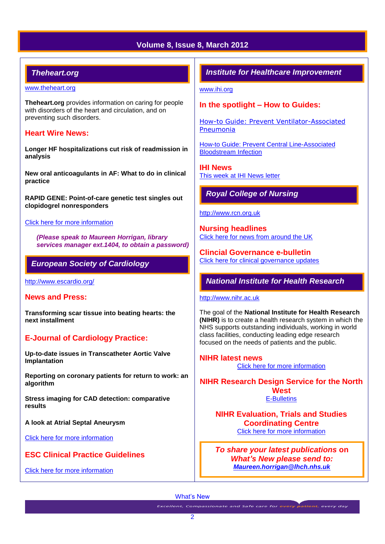# **Volume 8, Issue 8, March 2012**

# *Theheart.org*

#### [www.theheart.org](http://www.theheart.org/)

**Theheart.org** provides information on caring for people with disorders of the heart and circulation, and on preventing such disorders.

#### **Heart Wire News:**

**Longer HF hospitalizations cut risk of readmission in analysis**

**New oral anticoagulants in AF: What to do in clinical practice** 

**RAPID GENE: Point-of-care genetic test singles out clopidogrel nonresponders**

#### [Click here for more information](http://www.theheart.org/section/heartwire.do)

*(Please speak to Maureen Horrigan, library services manager ext.1404, to obtain a password)*

## *European Society of Cardiology*

<http://www.escardio.org/>

#### **News and Press:**

**Transforming scar tissue into beating hearts: the next installment**

# **E-Journal of Cardiology Practice:**

**Up-to-date issues in Transcatheter Aortic Valve Implantation**

**Reporting on coronary patients for return to work: an algorithm**

**Stress imaging for CAD detection: comparative results**

**A look at Atrial Septal Aneurysm** 

[Click here for more information](http://www.escardio.org/communities/councils/ccp/e-journal/volume10/Pages/welcome.aspx)

## **ESC Clinical Practice Guidelines**

[Click here for more information](http://www.escardio.org/guidelines-surveys/esc-guidelines/Pages/ACS-non-ST-segment-elevation.aspx)

# *Institute for Healthcare Improvement*

[www.ihi.org](http://www.ihi.org/)

#### **In the spotlight – How to Guides:**

[How-to Guide: Prevent Ventilator-Associated](http://www.ihi.org/knowledge/Pages/Tools/HowtoGuidePreventVAP.aspx)  [Pneumonia](http://www.ihi.org/knowledge/Pages/Tools/HowtoGuidePreventVAP.aspx) 

[How-to Guide: Prevent Central Line-Associated](http://www.ihi.org/knowledge/Pages/Tools/HowtoGuidePreventCentralLineAssociatedBloodstreamInfection.aspx)  [Bloodstream Infection](http://www.ihi.org/knowledge/Pages/Tools/HowtoGuidePreventCentralLineAssociatedBloodstreamInfection.aspx) 

**IHI News**  [This week at IHI News letter](http://www.ihi.org/Documents/ThisWeekatIHI.htm) 

# *Royal College of Nursing*

#### [http://www.rcn.org.uk](http://www.rcn.org.uk/)

**Nursing headlines** [Click here for news from around the UK](http://www.rcn.org.uk/newsevents/news)

**Clincial Governance e-bulletin** [Click here for clinical governance updates](http://www.rcn.org.uk/development/practice/clinical_governance/updates)

# *National Institute for Health Research*

#### [http://www.nihr.ac.uk](http://www.nihr.ac.uk/)

The goal of the **National Institute for Health Research (NIHR)** is to create a health research system in which the NHS supports outstanding individuals, working in world class facilities, conducting leading edge research focused on the needs of patients and the public.

**NIHR latest news** [Click here for more information](http://www.nihr.ac.uk/news/Pages/default.aspx)

**NIHR Research Design Service for the North West** [E-Bulletins](http://www.rds-nw.nihr.ac.uk/newstrainingevents/ebulletin.php)

**NIHR Evaluation, Trials and Studies Coordinating Centre** [Click here for more information](http://www.netscc.ac.uk/hsdr/?scr=hsdr_rds_sep11) 

*To share your latest publications* **on**  *What's New please send to: [Maureen.horrigan@lhch.nhs.uk](mailto:Maureen.horrigan@lhch.nhs.uk)*

What's New

**Excellent, Compassionate and Safe care for every patient, every day**